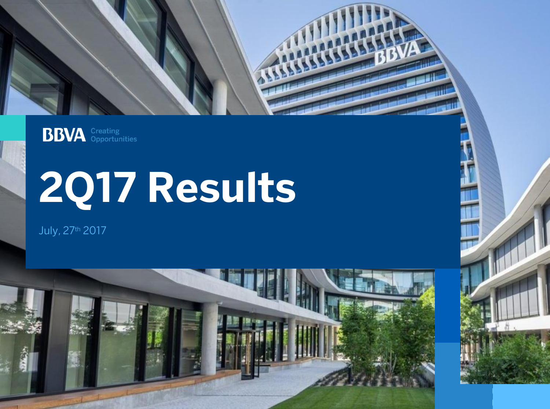

**BBVA** *Creating* 

# **2Q17 Results**

July, 27th 2017

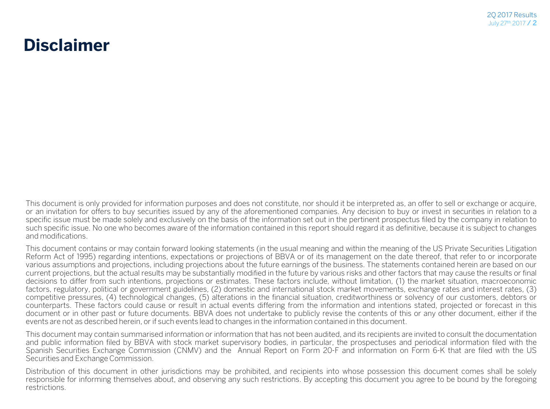#### **Disclaimer**

This document is only provided for information purposes and does not constitute, nor should it be interpreted as, an offer to sell or exchange or acquire, or an invitation for offers to buy securities issued by any of the aforementioned companies. Any decision to buy or invest in securities in relation to a specific issue must be made solely and exclusively on the basis of the information set out in the pertinent prospectus filed by the company in relation to such specific issue. No one who becomes aware of the information contained in this report should regard it as definitive, because it is subject to changes and modifications.

This document contains or may contain forward looking statements (in the usual meaning and within the meaning of the US Private Securities Litigation Reform Act of 1995) regarding intentions, expectations or projections of BBVA or of its management on the date thereof, that refer to or incorporate various assumptions and projections, including projections about the future earnings of the business. The statements contained herein are based on our current projections, but the actual results may be substantially modified in the future by various risks and other factors that may cause the results or final decisions to differ from such intentions, projections or estimates. These factors include, without limitation, (1) the market situation, macroeconomic factors, regulatory, political or government guidelines, (2) domestic and international stock market movements, exchange rates and interest rates, (3) competitive pressures, (4) technological changes, (5) alterations in the financial situation, creditworthiness or solvency of our customers, debtors or counterparts. These factors could cause or result in actual events differing from the information and intentions stated, projected or forecast in this document or in other past or future documents. BBVA does not undertake to publicly revise the contents of this or any other document, either if the events are not as described herein, or if such events lead to changes in the information contained in this document.

This document may contain summarised information or information that has not been audited, and its recipients are invited to consult the documentation and public information filed by BBVA with stock market supervisory bodies, in particular, the prospectuses and periodical information filed with the Spanish Securities Exchange Commission (CNMV) and the Annual Report on Form 20-F and information on Form 6-K that are filed with the US Securities and Exchange Commission.

Distribution of this document in other jurisdictions may be prohibited, and recipients into whose possession this document comes shall be solely responsible for informing themselves about, and observing any such restrictions. By accepting this document you agree to be bound by the foregoing restrictions.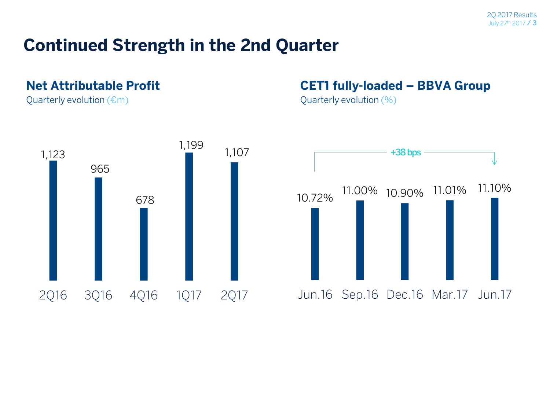#### **Continued Strength in the 2nd Quarter**

#### **Net Attributable Profit**

Quarterly evolution  $(\epsilon m)$ 



#### **CET1 fully-loaded – BBVA Group**

Quarterly evolution (%)

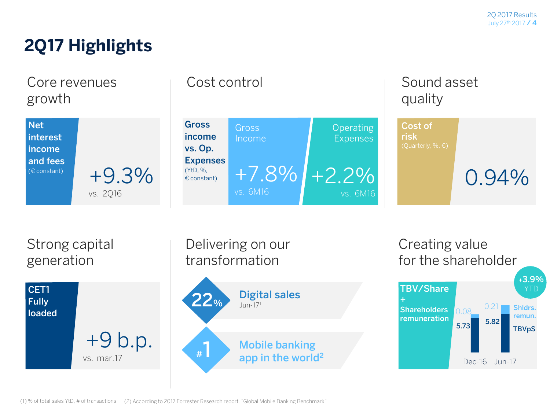### **2Q17 Highlights**

Core revenues growth



|                                                     | Cost control                  |                                     |                                                       | Sound asset |
|-----------------------------------------------------|-------------------------------|-------------------------------------|-------------------------------------------------------|-------------|
| <b>Gross</b><br>income<br>vs. Op.                   | <b>Gross</b><br>Income        | <b>Operating</b><br><b>Expenses</b> | Cost of<br><b>risk</b><br>(Quarterly, %, $\epsilon$ ) |             |
| <b>Expenses</b><br>(YtD, %,<br>$\epsilon$ constant) | $+7.8\%$ $+2.2\%$<br>vs. 6M16 | vs. 6M16                            |                                                       | $0.94\%$    |

Strong capital generation



Delivering on our transformation **Mobile banking app in the world<sup>2</sup> Digital sales 22**% 1m-17<sup>1</sup> **#1**

**TBV/Share Shareholders remuneration** Creating value for the shareholder **5.73 5.82**  $0.08$   $0.21$ Dec-16 Jun-17 **Shldrs. remun. TBVpS +3.9%**  YTD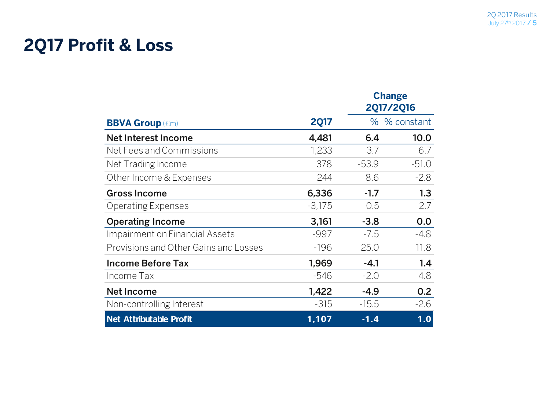### **2Q17 Profit & Loss**

|                                       |             | <b>Change</b><br><b>2Q17/2Q16</b> |              |  |
|---------------------------------------|-------------|-----------------------------------|--------------|--|
| <b>BBVA Group (€m)</b>                | <b>2Q17</b> |                                   | % % constant |  |
| Net Interest Income                   | 4,481       | 6.4                               | 10.0         |  |
| Net Fees and Commissions              | 1,233       | 3.7                               | 6.7          |  |
| Net Trading Income                    | 378         | $-53.9$                           | $-51.0$      |  |
| Other Income & Expenses               | 244         | 8.6                               | $-2.8$       |  |
| <b>Gross Income</b>                   | 6,336       | $-1.7$                            | 1.3          |  |
| <b>Operating Expenses</b>             | $-3,175$    | 0.5                               | 2.7          |  |
| <b>Operating Income</b>               | 3,161       | $-3.8$                            | 0.0          |  |
| Impairment on Financial Assets        | $-997$      | $-7.5$                            | $-4.8$       |  |
| Provisions and Other Gains and Losses | $-196$      | 25.0                              | 11.8         |  |
| <b>Income Before Tax</b>              | 1,969       | $-4.1$                            | 1.4          |  |
| Income Tax                            | -546        | $-2.0$                            | 4.8          |  |
| <b>Net Income</b>                     | 1,422       | $-4.9$                            | 0.2          |  |
| Non-controlling Interest              | $-315$      | $-15.5$                           | $-2.6$       |  |
| Net Attributable Profit               | 1,107       | $-1.4$                            | 1.0          |  |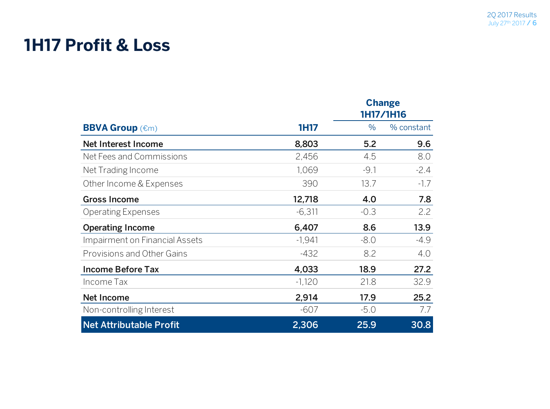### **1H17 Profit & Loss**

|                                |             |        | <b>Change</b><br>1H17/1H16 |
|--------------------------------|-------------|--------|----------------------------|
| <b>BBVA Group (€m)</b>         | <b>1H17</b> | $\%$   | % constant                 |
| Net Interest Income            | 8,803       | 5.2    | 9.6                        |
| Net Fees and Commissions       | 2,456       | 4.5    | 8.0                        |
| Net Trading Income             | 1,069       | $-9.1$ | $-2.4$                     |
| Other Income & Expenses        | 390         | 13.7   | $-1.7$                     |
| <b>Gross Income</b>            | 12,718      | 4.0    | 7.8                        |
| <b>Operating Expenses</b>      | $-6,311$    | $-0.3$ | 2.2                        |
| <b>Operating Income</b>        | 6,407       | 8.6    | 13.9                       |
| Impairment on Financial Assets | $-1,941$    | $-8.0$ | $-4.9$                     |
| Provisions and Other Gains     | $-432$      | 8.2    | 4.0                        |
| <b>Income Before Tax</b>       | 4,033       | 18.9   | 27.2                       |
| Income Tax                     | $-1,120$    | 21.8   | 32.9                       |
| <b>Net Income</b>              | 2,914       | 17.9   | 25.2                       |
| Non-controlling Interest       | $-607$      | $-5.0$ | 7.7                        |
| <b>Net Attributable Profit</b> | 2,306       | 25.9   | 30.8                       |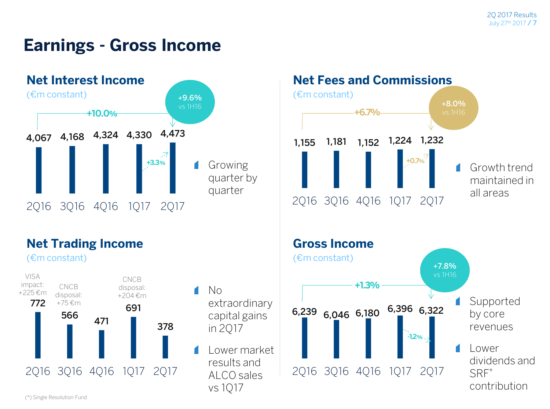#### **Earnings - Gross Income**



#### **Net Trading Income**

(€m constant)





**Net Fees and Commissions**

(\*) Single Resolution Fund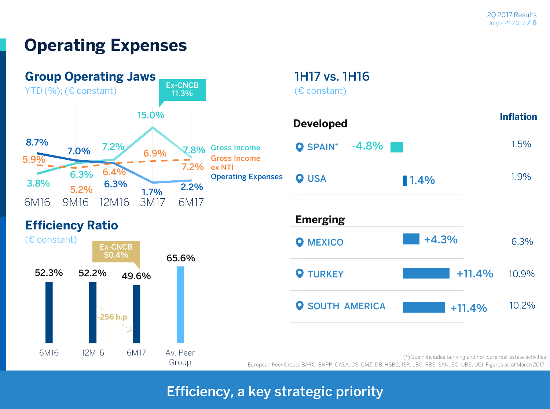### **Operating Expenses**



#### **Efficiency Ratio**



#### **1H17 vs. 1H16**  (€ constant)

| <b>Developed</b>           |          | <b>Inflation</b> |
|----------------------------|----------|------------------|
| $-4.8%$<br><b>O</b> SPAIN* |          | 1.5%             |
| <b>O</b> USA               | 1.4%     | 1.9%             |
| <b>Emerging</b>            |          |                  |
| <b>O</b> MEXICO            | $+4.3%$  | 6.3%             |
| <b>Q</b> TURKEY            | $+11.4%$ | 10.9%            |
| <b>O SOUTH AMERICA</b>     | $+11.4%$ | 10.2%            |

(\*) Spain includes banking and non core real-estate activities European Peer Group: BARC, BNPP, CASA, CS, CMZ, DB, HSBC, ISP, LBG, RBS, SAN, SG, UBS, UCI. Figures as of March 2017.

#### **Efficiency, a key strategic priority**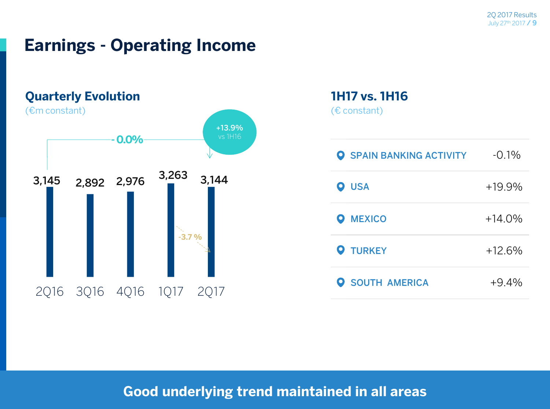### **Earnings - Operating Income**



#### **1H17 vs. 1H16**  (€ constant)

| <b>O</b> SPAIN BANKING ACTIVITY | $-0.1\%$ |
|---------------------------------|----------|
| <b>O</b> USA                    | $+19.9%$ |
| <b>O</b> MEXICO                 | $+14.0%$ |
| <b>Q</b> TURKEY                 | $+12.6%$ |
| <b>O SOUTH AMERICA</b>          | $+9.4%$  |

#### **Good underlying trend maintained in all areas**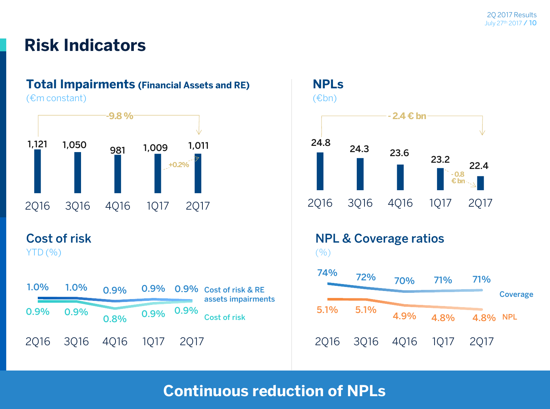#### **Risk Indicators**

#### **Total Impairments (Financial Assets and RE)**

(€m constant)



#### **Cost of risk**

YTD (%)





**Continuous reduction of NPLs**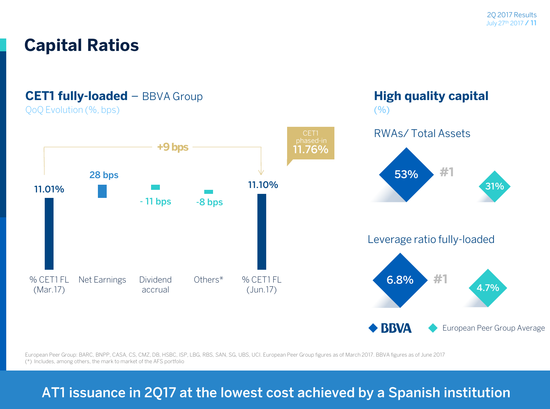**High quality capital**

 $($ % $)$ 

### **Capital Ratios**

#### **CET1 fully-loaded** – BBVA Group

QoQ Evolution (%, bps)



European Peer Group: BARC, BNPP, CASA, CS, CMZ, DB, HSBC, ISP, LBG, RBS, SAN, SG, UBS, UCI. European Peer Group figures as of March 2017. BBVA figures as of June 2017

(\*) Includes, among others, the mark to market of the AFS portfolio

#### **AT1 issuance in 2Q17 at the lowest cost achieved by a Spanish institution**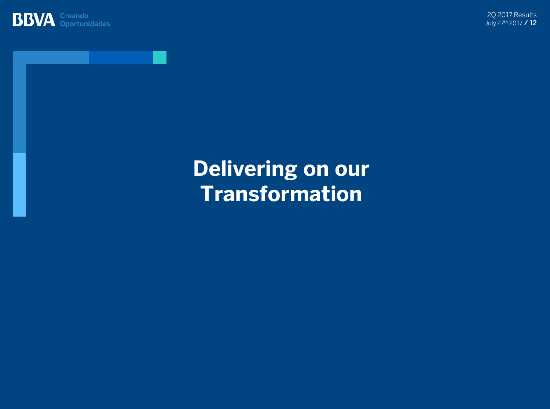

2Q 2017 Results July 27th 2017 **/ 12**

## **Delivering on our Transformation**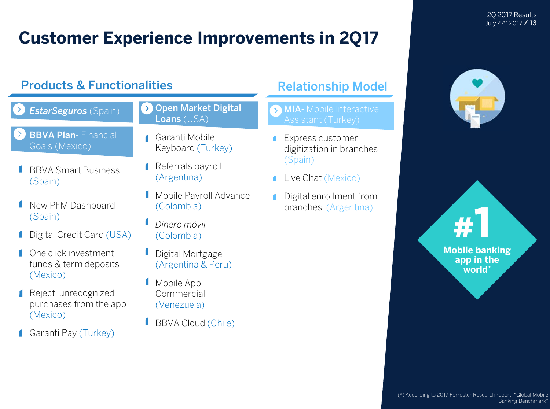### **Customer Experience Improvements in 2Q17**

#### • **Virtual voice assistant Ria and Richards & Functionalities A. A. B. Relationship Model**



- BBVA Smart Business (Spain)
- New PFM Dashboard (Spain)
- **I** Digital Credit Card (USA)
- One click investment funds & term deposits (Mexico)
- **Reject unrecognized** purchases from the app (Mexico)
- Garanti Pay (Turkey)
- **Open Market Digital Loans** (USA)
- Garanti Mobile Keyboard (Turkey)
- **Referrals payroll** (Argentina)
- **I** Mobile Payroll Advance (Colombia)
- *Dinero móvil* (Colombia)
- **Digital Mortgage** (Argentina & Peru)
- Mobile App Commercial (Venezuela)
- BBVA Cloud (Chile)

- **MIA-** Mobile Interactive
- Express customer digitization in branches (Spain)
- Live Chat (Mexico)
- Digital enrollment from branches (Argentina)



2Q 2017 Results July 27th 2017 **/ 13**



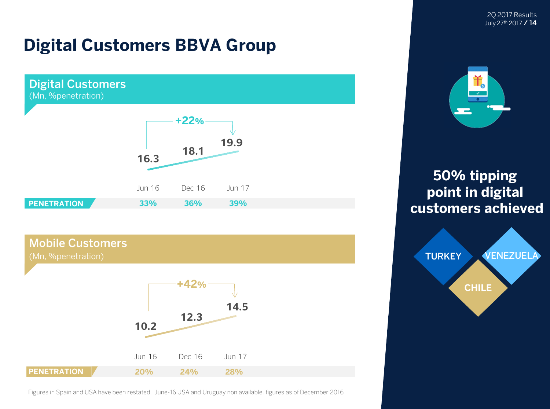2Q 2017 Results July 27th 2017 **/ 14**

### **Digital Customers BBVA Group**



#### **Mobile Customers**



Figures in Spain and USA have been restated. June-16 USA and Uruguay non available, figures as of December 2016



**50% tipping point in digital customers achieved**

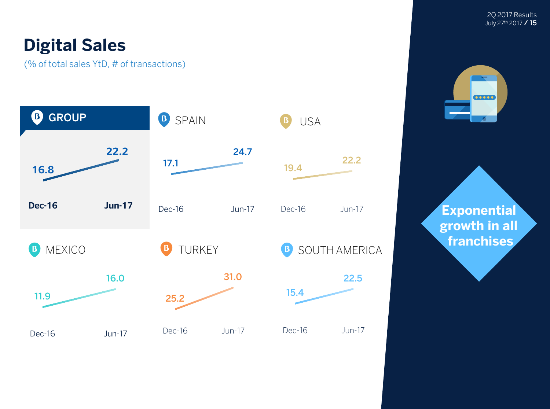### **Digital Sales**

(% of total sales YtD, # of transactions)



2Q 2017 Results July 27th 2017 **/ 15**



**Exponential growth in all franchises**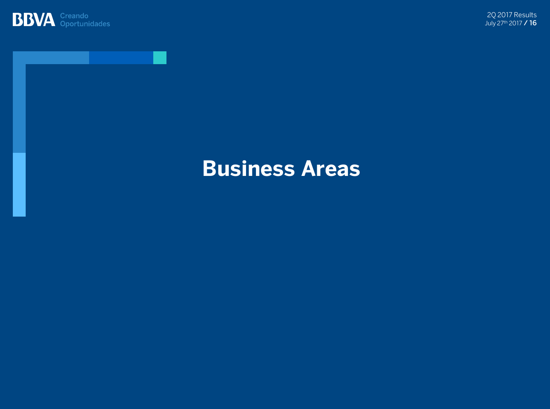



### **Business Areas**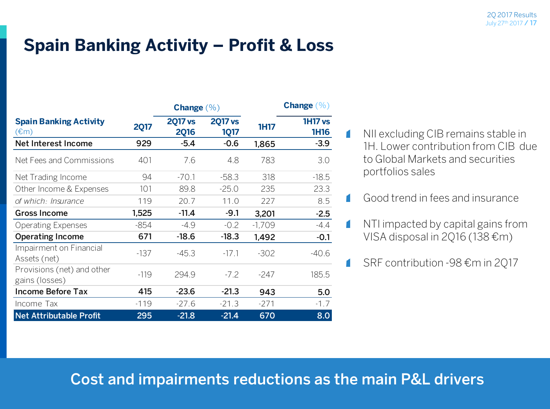### **Spain Banking Activity – Profit & Loss**

|                                                                                           |             | <b>Change</b> $(\% )$         |                               |             | <b>Change</b> $(\%)$          |
|-------------------------------------------------------------------------------------------|-------------|-------------------------------|-------------------------------|-------------|-------------------------------|
| <b>Spain Banking Activity</b><br>$(\text{\ensuremath{\varepsilon}}\text{\ensuremath{m}})$ | <b>2Q17</b> | <b>2Q17 vs</b><br><b>2Q16</b> | <b>2017 vs</b><br><b>1Q17</b> | <b>1H17</b> | <b>1H17 vs</b><br><b>1H16</b> |
| Net Interest Income                                                                       | 929         | $-5.4$                        | $-0.6$                        | 1,865       | $-3.9$                        |
| Net Fees and Commissions                                                                  | 401         | 7.6                           | 4.8                           | 783         | 3.0                           |
| Net Trading Income                                                                        | 94          | $-70.1$                       | $-58.3$                       | 318         | $-18.5$                       |
| Other Income & Expenses                                                                   | 101         | 89.8                          | $-25.0$                       | 235         | 23.3                          |
| of which: Insurance                                                                       | 119         | 20.7                          | 11.0                          | 227         | 8.5                           |
| <b>Gross Income</b>                                                                       | 1,525       | $-11.4$                       | $-9.1$                        | 3,201       | $-2.5$                        |
| <b>Operating Expenses</b>                                                                 | $-854$      | $-4.9$                        | $-0.2$                        | $-1,709$    | $-4.4$                        |
| <b>Operating Income</b>                                                                   | 671         | $-18.6$                       | $-18.3$                       | 1,492       | $-0.1$                        |
| Impairment on Financial<br>Assets (net)                                                   | $-137$      | $-45.3$                       | $-17.1$                       | $-302$      | $-40.6$                       |
| Provisions (net) and other<br>gains (losses)                                              | $-119$      | 294.9                         | $-7.2$                        | $-247$      | 185.5                         |
| <b>Income Before Tax</b>                                                                  | 415         | $-23.6$                       | $-21.3$                       | 943         | 5.0                           |
| Income Tax                                                                                | $-119$      | $-27.6$                       | $-21.3$                       | $-271$      | $-1.7$                        |
| <b>Net Attributable Profit</b>                                                            | 295         | $-21.8$                       | $-21.4$                       | 670         | 8.0                           |

- NII excluding CIB remains stable in 1H. Lower contribution from CIB due to Global Markets and securities portfolios sales
- Good trend in fees and insurance

 $\blacksquare$ 

 $\blacksquare$ 

O

- NTI impacted by capital gains from VISA disposal in 2Q16 (138 $\epsilon$ m)
- SRF contribution -98 €m in 2Q17  $\blacksquare$

#### **Cost and impairments reductions as the main P&L drivers**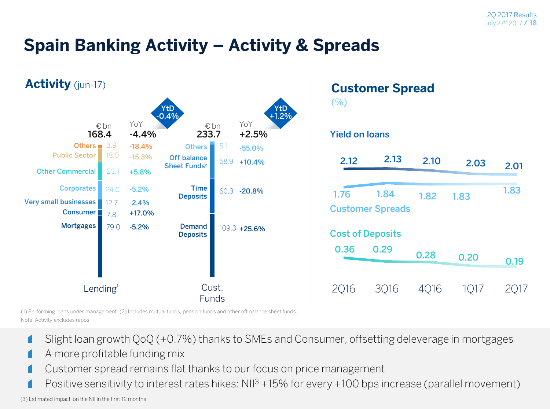### **Spain Banking Activity – Activity & Spreads**



(1) Performing loans under management. (2) Includes mutual funds, pension funds and other off balance sheet funds. Note: Activity excludes repos

- Slight loan growth QoQ (+0.7%) thanks to SMEs and Consumer, offsetting deleverage in mortgages
- A more profitable funding mix
- Customer spread remains flat thanks to our focus on price management
- Positive sensitivity to interest rates hikes:  $NII^3 + 15\%$  for every  $+100$  bps increase (parallel movement)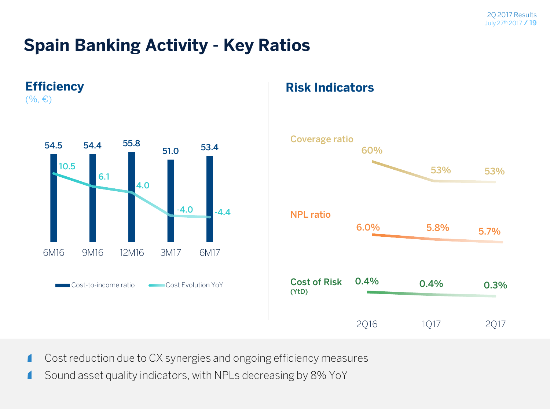### **Spain Banking Activity - Key Ratios**



П

#### **Risk Indicators**



Cost reduction due to CX synergies and ongoing efficiency measures П

Sound asset quality indicators, with NPLs decreasing by 8% YoY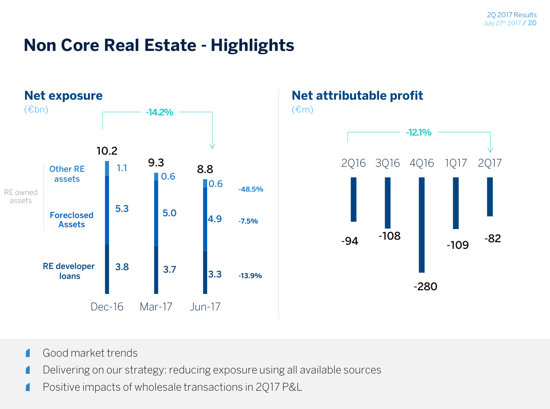### **Non Core Real Estate - Highlights**



#### **Net attributable profit**

 $(\epsilon m)$ 



- Good market trends  $\blacksquare$
- Delivering on our strategy: reducing exposure using all available sources г
- Positive impacts of wholesale transactions in 2Q17 P&L Г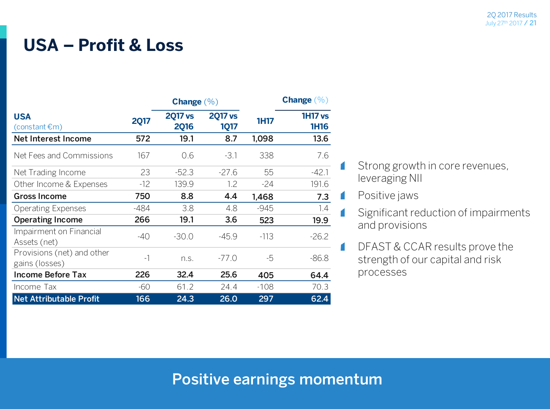#### **USA – Profit & Loss**

|                                              | <b>Change</b> $(\%)$ |                               |                               |             | Change $(\% )$                |
|----------------------------------------------|----------------------|-------------------------------|-------------------------------|-------------|-------------------------------|
| <b>USA</b><br>$(constant \epsilon m)$        | <b>2Q17</b>          | <b>2017 vs</b><br><b>2Q16</b> | <b>2017 vs</b><br><b>1Q17</b> | <b>1H17</b> | <b>1H17 vs</b><br><b>1H16</b> |
| Net Interest Income                          | 572                  | 19.1                          | 8.7                           | 1,098       | 13.6                          |
| Net Fees and Commissions                     | 167                  | 0.6                           | $-3.1$                        | 338         | 7.6                           |
| Net Trading Income                           | 23                   | $-52.3$                       | $-27.6$                       | 55          | $-42.1$                       |
| Other Income & Expenses                      | $-12$                | 139.9                         | 1.2                           | $-24$       | 191.6                         |
| <b>Gross Income</b>                          | 750                  | 8.8                           | 4.4                           | 1,468       | 7.3                           |
| <b>Operating Expenses</b>                    | $-484$               | 3.8                           | 4.8                           | $-945$      | 1.4                           |
| <b>Operating Income</b>                      | 266                  | 19.1                          | 3.6                           | 523         | 19.9                          |
| Impairment on Financial<br>Assets (net)      | -40                  | $-30.0$                       | $-45.9$                       | $-113$      | $-26.2$                       |
| Provisions (net) and other<br>gains (losses) | $-1$                 | n.S.                          | $-77.0$                       | -5          | $-86.8$                       |
| <b>Income Before Tax</b>                     | 226                  | 32.4                          | 25.6                          | 405         | 64.4                          |
| Income Tax                                   | $-60$                | 61.2                          | 24.4                          | $-108$      | 70.3                          |
| <b>Net Attributable Profit</b>               | 166                  | 24.3                          | 26.0                          | 297         | 62.4                          |

- Strong growth in core revenues, leveraging NII
- Positive jaws  $\blacksquare$

 $\blacksquare$ 

.

 $\blacksquare$ 

- Significant reduction of impairments and provisions
- DFAST & CCAR results prove the strength of our capital and risk processes

#### **Positive earnings momentum**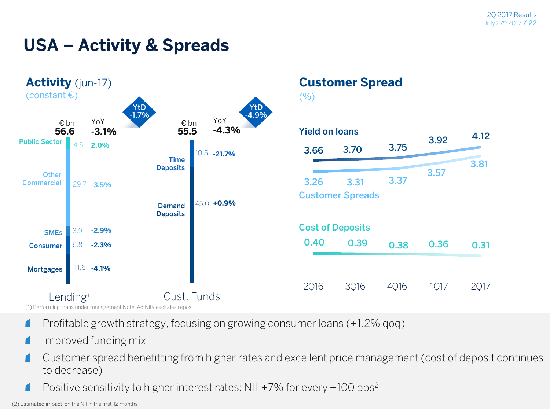### **USA – Activity & Spreads**



- Profitable growth strategy, focusing on growing consumer loans (+1.2% qoq) n
- Improved funding mix
- Customer spread benefitting from higher rates and excellent price management (cost of deposit continues Г to decrease)
	- Positive sensitivity to higher interest rates: NII +7% for every +100 bps<sup>2</sup>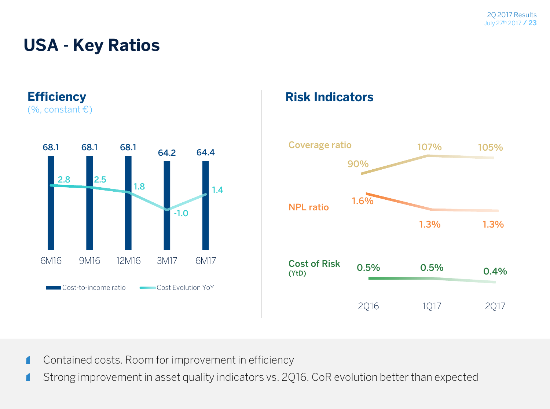### **USA - Key Ratios**

**Efficiency**



#### **Risk Indicators**



Contained costs. Room for improvement in efficiency r

Strong improvement in asset quality indicators vs. 2Q16. CoR evolution better than expected r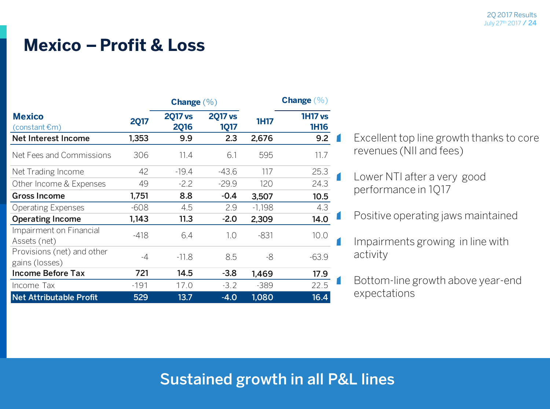#### **Mexico –Profit & Loss**

|                                              |             | Change $(\% )$                |                               |             | <b>Change</b> $(\%)$          |  |
|----------------------------------------------|-------------|-------------------------------|-------------------------------|-------------|-------------------------------|--|
| <b>Mexico</b><br>$(constant \epsilon m)$     | <b>2Q17</b> | <b>2017 vs</b><br><b>2Q16</b> | <b>2Q17 vs</b><br><b>1Q17</b> | <b>1H17</b> | <b>1H17 vs</b><br><b>1H16</b> |  |
| Net Interest Income                          | 1,353       | 9.9                           | 2.3                           | 2,676       | 9.2                           |  |
| Net Fees and Commissions                     | 306         | 11.4                          | 6.1                           | 595         | 11.7                          |  |
| Net Trading Income                           | 42          | $-19.4$                       | $-43.6$                       | 117         | 25.3                          |  |
| Other Income & Expenses                      | 49          | $-2.2$                        | $-29.9$                       | 120         | 24.3                          |  |
| <b>Gross Income</b>                          | 1,751       | 8.8                           | $-0.4$                        | 3,507       | 10.5                          |  |
| <b>Operating Expenses</b>                    | $-608$      | 4.5                           | 2.9                           | $-1,198$    | 4.3                           |  |
| <b>Operating Income</b>                      | 1,143       | 11.3                          | $-2.0$                        | 2,309       | 14.0                          |  |
| Impairment on Financial<br>Assets (net)      | $-418$      | 6.4                           | 1.0                           | $-831$      | 10.0                          |  |
| Provisions (net) and other<br>gains (losses) | $-4$        | $-11.8$                       | 8.5                           | -8          | $-63.9$                       |  |
| <b>Income Before Tax</b>                     | 721         | 14.5                          | $-3.8$                        | 1,469       | 17.9                          |  |
| Income Tax                                   | $-191$      | 17.0                          | $-3.2$                        | $-389$      | 22.5                          |  |
| <b>Net Attributable Profit</b>               | 529         | 13.7                          | $-4.0$                        | 1,080       | 16.4                          |  |

Excellent top line growth thanks to core revenues (NII and fees)

Lower NTI after a very good performance in 1Q17

- Positive operating jaws maintained
- Impairments growing in line with activity
- Bottom-line growth above year-end expectations

#### **Sustained growth in all P&L lines**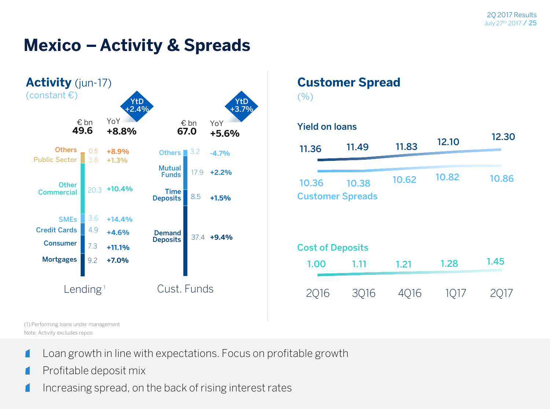### **Mexico – Activity & Spreads**



#### **Customer Spread**

 $($ %)



(1) Performing loans under management Note: Activity excludes repos

- Loan growth in line with expectations. Focus on profitable growth г
- Profitable deposit mix г
- Increasing spread, on the back of rising interest rates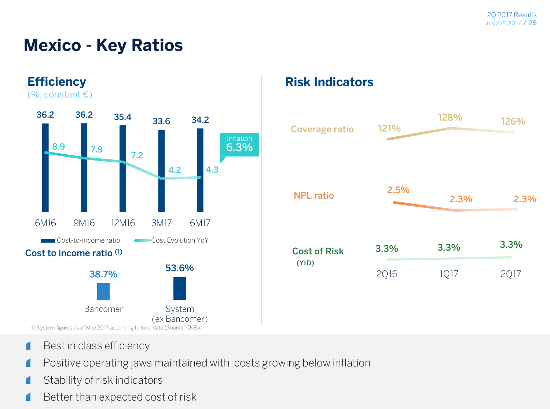### **Mexico - Key Ratios**



#### **Risk Indicators**



- Best in class efficiency П
- Positive operating jaws maintained with costs growing below inflation
- Stability of risk indicators г
- Better than expected cost of risk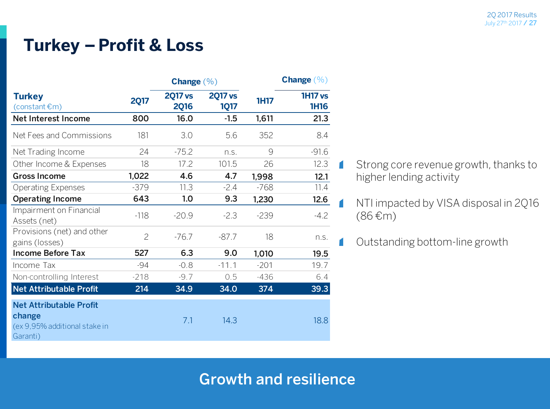### **Turkey –Profit & Loss**

|                                                                                       |                | <b>Change</b> $(\% )$         |                               |             | <b>Change</b> $(\%)$          |  |
|---------------------------------------------------------------------------------------|----------------|-------------------------------|-------------------------------|-------------|-------------------------------|--|
| <b>Turkey</b><br>$(constant \, \epsilon m)$                                           | <b>2Q17</b>    | <b>2Q17 vs</b><br><b>2Q16</b> | <b>2Q17 vs</b><br><b>1Q17</b> | <b>1H17</b> | <b>1H17 vs</b><br><b>1H16</b> |  |
| Net Interest Income                                                                   | 800            | 16.0                          | $-1.5$                        | 1,611       | 21.3                          |  |
| Net Fees and Commissions                                                              | 181            | 3.0                           | 5.6                           | 352         | 8.4                           |  |
| Net Trading Income                                                                    | 24             | $-75.2$                       | n.S.                          | 9           | $-91.6$                       |  |
| Other Income & Expenses                                                               | 18             | 17.2                          | 101.5                         | 26          | 12.3                          |  |
| <b>Gross Income</b>                                                                   | 1,022          | 4.6                           | 4.7                           | 1,998       | 12.1                          |  |
| <b>Operating Expenses</b>                                                             | $-379$         | 11.3                          | $-2.4$                        | $-768$      | 11.4                          |  |
| <b>Operating Income</b>                                                               | 643            | 1.0                           | 9.3                           | 1,230       | 12.6                          |  |
| Impairment on Financial<br>Assets (net)                                               | $-118$         | $-20.9$                       | $-2.3$                        | $-239$      | $-4.2$                        |  |
| Provisions (net) and other<br>gains (losses)                                          | $\overline{c}$ | $-76.7$                       | $-87.7$                       | 18          | n.s.                          |  |
| <b>Income Before Tax</b>                                                              | 527            | 6.3                           | 9.0                           | 1,010       | 19.5                          |  |
| Income Tax                                                                            | $-94$          | $-0.8$                        | $-11.1$                       | $-201$      | 19.7                          |  |
| Non-controlling Interest                                                              | $-218$         | $-9.7$                        | 0.5                           | $-436$      | 6.4                           |  |
| Net Attributable Profit                                                               | 214            | 34.9                          | 34.0                          | 374         | 39.3                          |  |
| <b>Net Attributable Profit</b><br>change<br>(ex 9,95% additional stake in<br>Garanti) |                | 7.1                           | 14.3                          |             | 18.8                          |  |

- Strong core revenue growth, thanks to higher lending activity
- NTI impacted by VISA disposal in 2Q16 (86 €m)
- Outstanding bottom-line growth

#### **Growth and resilience**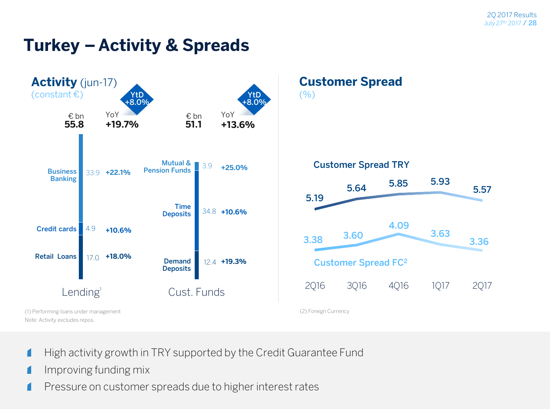### **Turkey – Activity & Spreads**



- High activity growth in TRY supported by the Credit Guarantee Fund
- Improving funding mix г
- Pressure on customer spreads due to higher interest rates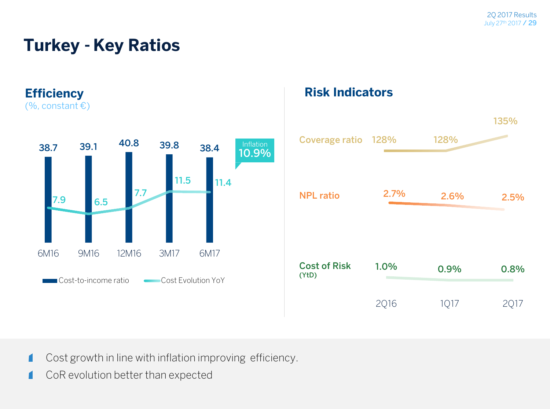### **Turkey - Key Ratios**



#### **Risk Indicators**



- Cost growth in line with inflation improving efficiency.
- CoR evolution better than expected п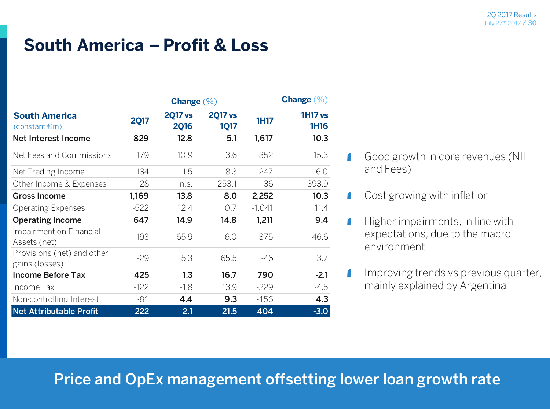### **South America – Profit & Loss**

|                                                    |             | <b>Change</b> $(\% )$         |                               |             | Change $(\%)$                 |
|----------------------------------------------------|-------------|-------------------------------|-------------------------------|-------------|-------------------------------|
| <b>South America</b><br>$(constant \, \epsilon m)$ | <b>2Q17</b> | <b>2017 vs</b><br><b>2Q16</b> | <b>2017 vs</b><br><b>1Q17</b> | <b>1H17</b> | <b>1H17 vs</b><br><b>1H16</b> |
| Net Interest Income                                | 829         | 12.8                          | 5.1                           | 1,617       | 10.3                          |
| Net Fees and Commissions                           | 179         | 10.9                          | 3.6                           | 352         | 15.3                          |
| Net Trading Income                                 | 134         | 1.5                           | 18.3                          | 247         | $-6.0$                        |
| Other Income & Expenses                            | 28          | n.S.                          | 253.1                         | 36          | 393.9                         |
| <b>Gross Income</b>                                | 1,169       | 13.8                          | 8.0                           | 2,252       | 10.3                          |
| <b>Operating Expenses</b>                          | $-522$      | 12.4                          | 0.7                           | $-1,041$    | 11.4                          |
| <b>Operating Income</b>                            | 647         | 14.9                          | 14.8                          | 1,211       | 9.4                           |
| Impairment on Financial<br>Assets (net)            | $-193$      | 65.9                          | 6.0                           | $-375$      | 46.6                          |
| Provisions (net) and other<br>gains (losses)       | $-29$       | 5.3                           | 65.5                          | -46         | 3.7                           |
| <b>Income Before Tax</b>                           | 425         | 1.3                           | 16.7                          | 790         | $-2.1$                        |
| Income Tax                                         | $-122$      | $-1.8$                        | 13.9                          | $-229$      | $-4.5$                        |
| Non-controlling Interest                           | $-81$       | 4.4                           | 9.3                           | $-156$      | 4.3                           |
| <b>Net Attributable Profit</b>                     | 222         | 2.1                           | 21.5                          | 404         | $-3.0$                        |

- Good growth in core revenues (NII and Fees)
- Cost growing with inflation ſ

1

ſ

 $\blacksquare$ 

- Higher impairments, in line with expectations, due to the macro environment
- Improving trends vs previous quarter, mainly explained by Argentina

#### **Price and OpEx management offsetting lower loan growth rate**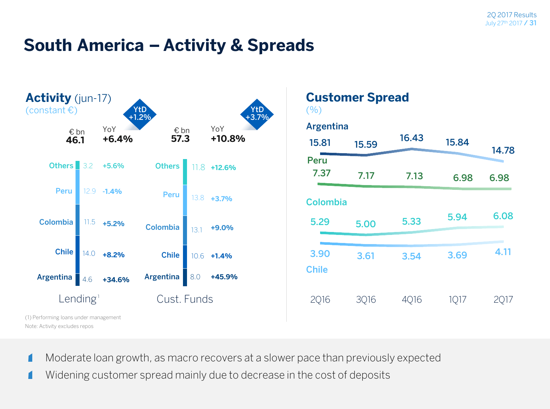#### **South America – Activity & Spreads**



- Moderate loan growth, as macro recovers at a slower pace than previously expected
- Widening customer spread mainly due to decrease in the cost of deposits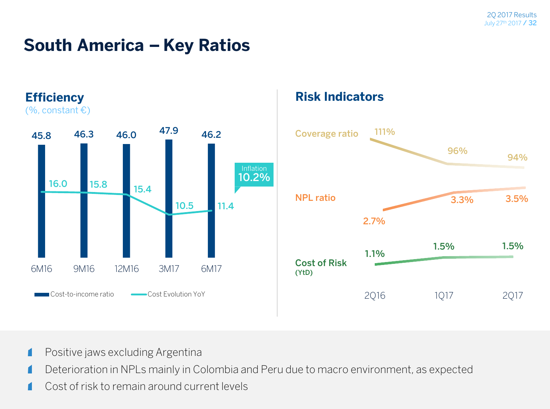### **South America – Key Ratios**



#### **Risk Indicators**



- Positive jaws excluding Argentina
- Deterioration in NPLs mainly in Colombia and Peru due to macro environment, as expected
- Cost of risk to remain around current levels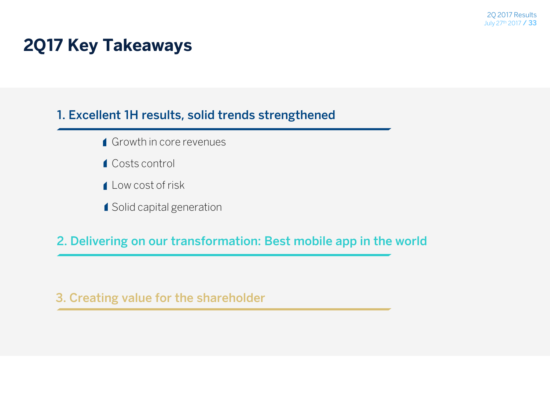### **2Q17 Key Takeaways**

#### **1. Excellent 1H results, solid trends strengthened**

- Growth in core revenues
- Costs control
- Low cost of risk
- 1 Solid capital generation

**2. Delivering on our transformation: Best mobile app in the world** 

**3. Creating value for the shareholder**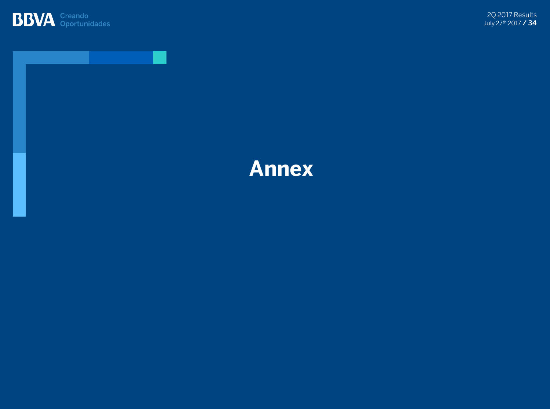



### **Annex**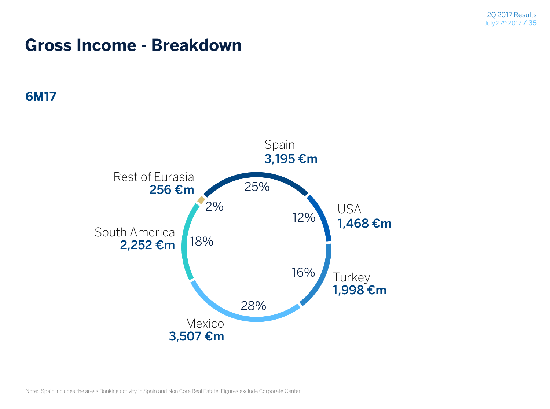#### **Gross Income - Breakdown**

#### **6M17**

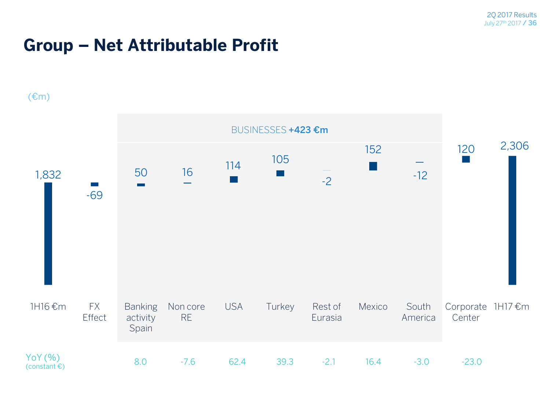### **Group – Net Attributable Profit**

#### $E(m)$

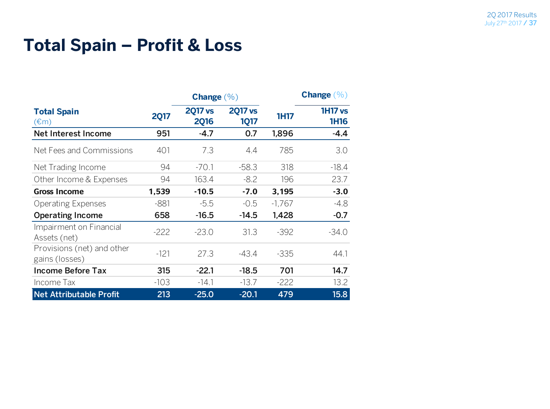### **Total Spain – Profit & Loss**

|                                                  |             | <b>Change</b> $(\%)$          |                               |             | <b>Change</b> $(\%)$          |
|--------------------------------------------------|-------------|-------------------------------|-------------------------------|-------------|-------------------------------|
| <b>Total Spain</b><br>$(\text{\textsterling} m)$ | <b>2Q17</b> | <b>2017 vs</b><br><b>2Q16</b> | <b>2017 vs</b><br><b>1Q17</b> | <b>1H17</b> | <b>1H17 vs</b><br><b>1H16</b> |
| Net Interest Income                              | 951         | $-4.7$                        | 0.7                           | 1,896       | $-4.4$                        |
| Net Fees and Commissions                         | 401         | 7.3                           | 4.4                           | 785         | 3.0                           |
| Net Trading Income                               | 94          | $-70.1$                       | $-58.3$                       | 318         | $-18.4$                       |
| Other Income & Expenses                          | 94          | 163.4                         | $-8.2$                        | 196         | 23.7                          |
| <b>Gross Income</b>                              | 1,539       | $-10.5$                       | $-7.0$                        | 3,195       | $-3.0$                        |
| <b>Operating Expenses</b>                        | $-881$      | $-5.5$                        | $-0.5$                        | $-1,767$    | $-4.8$                        |
| <b>Operating Income</b>                          | 658         | $-16.5$                       | $-14.5$                       | 1,428       | $-0.7$                        |
| Impairment on Financial<br>Assets (net)          | $-222$      | $-23.0$                       | 31.3                          | $-392$      | $-34.0$                       |
| Provisions (net) and other<br>gains (losses)     | $-121$      | 27.3                          | $-43.4$                       | $-335$      | 44.1                          |
| <b>Income Before Tax</b>                         | 315         | $-22.1$                       | $-18.5$                       | 701         | 14.7                          |
| Income Tax                                       | $-103$      | $-14.1$                       | $-13.7$                       | $-222$      | 13.2                          |
| <b>Net Attributable Profit</b>                   | 213         | $-25.0$                       | $-20.1$                       | 479         | 15.8                          |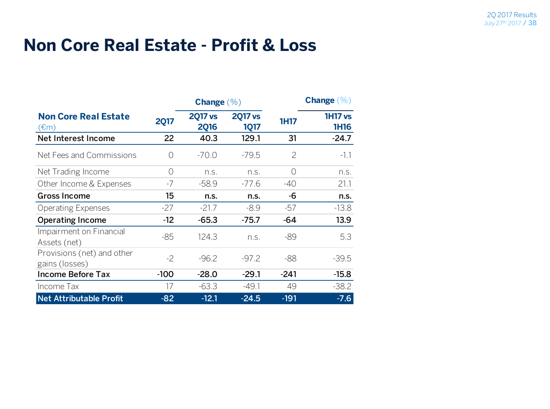#### **Non Core Real Estate - Profit & Loss**

|                                                           |             | Change $(\% )$                |                               |             | <b>Change</b> $(\%)$          |  |
|-----------------------------------------------------------|-------------|-------------------------------|-------------------------------|-------------|-------------------------------|--|
| <b>Non Core Real Estate</b><br>$(\text{\textsterling} m)$ | <b>2Q17</b> | <b>2Q17 vs</b><br><b>2Q16</b> | <b>2017 vs</b><br><b>1Q17</b> | <b>1H17</b> | <b>1H17 vs</b><br><b>1H16</b> |  |
| <b>Net Interest Income</b>                                | 22          | 40.3                          | 129.1                         | 31          | $-24.7$                       |  |
| Net Fees and Commissions                                  | ∩           | $-70.0$                       | $-79.5$                       | 2           | $-1.1$                        |  |
| Net Trading Income                                        | $\bigcirc$  | n.s.                          | n.s.                          | 0           | n.s.                          |  |
| Other Income & Expenses                                   | -7          | $-58.9$                       | $-77.6$                       | $-40$       | 21.1                          |  |
| <b>Gross Income</b>                                       | 15          | n.s.                          | n.s.                          | -6          | n.s.                          |  |
| <b>Operating Expenses</b>                                 | -27         | $-21.7$                       | $-8.9$                        | -57         | $-13.8$                       |  |
| <b>Operating Income</b>                                   | $-12$       | $-65.3$                       | $-75.7$                       | -64         | 13.9                          |  |
| Impairment on Financial<br>Assets (net)                   | $-85$       | 124.3                         | n.S.                          | -89         | 5.3                           |  |
| Provisions (net) and other<br>gains (losses)              | $-2$        | $-96.2$                       | $-97.2$                       | -88         | $-39.5$                       |  |
| <b>Income Before Tax</b>                                  | $-100$      | $-28.0$                       | $-29.1$                       | $-241$      | $-15.8$                       |  |
| Income Tax                                                | 17          | $-63.3$                       | $-49.1$                       | 49          | $-38.2$                       |  |
| <b>Net Attributable Profit</b>                            | $-82$       | $-12.1$                       | $-24.5$                       | $-191$      | $-7.6$                        |  |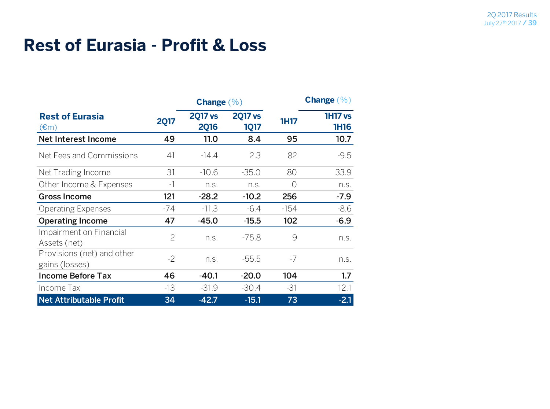#### **Rest of Eurasia - Profit & Loss**

|                                                     |                | Change $(\% )$                |                               |             | <b>Change</b> $(\%)$          |
|-----------------------------------------------------|----------------|-------------------------------|-------------------------------|-------------|-------------------------------|
| <b>Rest of Eurasia</b><br>$(\text{\textsterling}m)$ | <b>2Q17</b>    | <b>2017 vs</b><br><b>2Q16</b> | <b>2017 vs</b><br><b>1Q17</b> | <b>1H17</b> | <b>1H17 vs</b><br><b>1H16</b> |
| Net Interest Income                                 | 49             | 11.0                          | 8.4                           | 95          | 10.7                          |
| Net Fees and Commissions                            | 41             | $-14.4$                       | 2.3                           | 82          | $-9.5$                        |
| Net Trading Income                                  | 31             | $-10.6$                       | $-35.0$                       | 80          | 33.9                          |
| Other Income & Expenses                             | $-1$           | n.S.                          | n.S.                          | $\bigcap$   | n.S.                          |
| <b>Gross Income</b>                                 | 121            | $-28.2$                       | $-10.2$                       | 256         | $-7.9$                        |
| <b>Operating Expenses</b>                           | -74            | $-11.3$                       | $-6.4$                        | $-154$      | $-8.6$                        |
| <b>Operating Income</b>                             | 47             | $-45.0$                       | $-15.5$                       | 102         | $-6.9$                        |
| Impairment on Financial<br>Assets (net)             | $\overline{2}$ | n.S.                          | $-75.8$                       | 9           | n.S.                          |
| Provisions (net) and other<br>gains (losses)        | $-2$           | n.S.                          | $-55.5$                       | -7          | n.S.                          |
| <b>Income Before Tax</b>                            | 46             | $-40.1$                       | $-20.0$                       | 104         | 1.7                           |
| Income Tax                                          | -13            | $-31.9$                       | $-30.4$                       | $-31$       | 12.1                          |
| Net Attributable Profit                             | 34             | $-42.7$                       | $-15.1$                       | 73          | $-2.1$                        |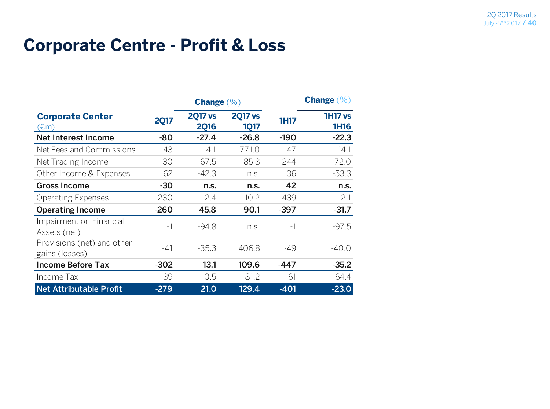#### **Corporate Centre - Profit & Loss**

|                                              |             | Change $(\% )$                |                               |             | <b>Change</b> $(\% )$         |
|----------------------------------------------|-------------|-------------------------------|-------------------------------|-------------|-------------------------------|
| <b>Corporate Center</b><br>(€m)              | <b>2Q17</b> | <b>2Q17 vs</b><br><b>2Q16</b> | <b>2017 vs</b><br><b>1Q17</b> | <b>1H17</b> | <b>1H17 vs</b><br><b>1H16</b> |
| Net Interest Income                          | $-80$       | $-27.4$                       | $-26.8$                       | $-190$      | $-22.3$                       |
| Net Fees and Commissions                     | $-43$       | $-4.1$                        | 771.0                         | -47         | $-14.1$                       |
| Net Trading Income                           | 30          | $-67.5$                       | $-85.8$                       | 244         | 172.0                         |
| Other Income & Expenses                      | 62          | $-42.3$                       | n.S.                          | 36          | $-53.3$                       |
| <b>Gross Income</b>                          | $-30$       | n.s.                          | n.s.                          | 42          | n.s.                          |
| <b>Operating Expenses</b>                    | $-230$      | 2.4                           | 10.2                          | $-439$      | $-2.1$                        |
| <b>Operating Income</b>                      | $-260$      | 45.8                          | 90.1                          | $-397$      | $-31.7$                       |
| Impairment on Financial<br>Assets (net)      | $-1$        | $-94.8$                       | n.S.                          | $-1$        | $-97.5$                       |
| Provisions (net) and other<br>gains (losses) | $-41$       | $-35.3$                       | 406.8                         | -49         | $-40.0$                       |
| <b>Income Before Tax</b>                     | $-302$      | 13.1                          | 109.6                         | -447        | $-35.2$                       |
| Income Tax                                   | 39          | $-0.5$                        | 81.2                          | 61          | $-64.4$                       |
| <b>Net Attributable Profit</b>               | $-279$      | 21.0                          | 129.4                         | $-401$      | $-23.0$                       |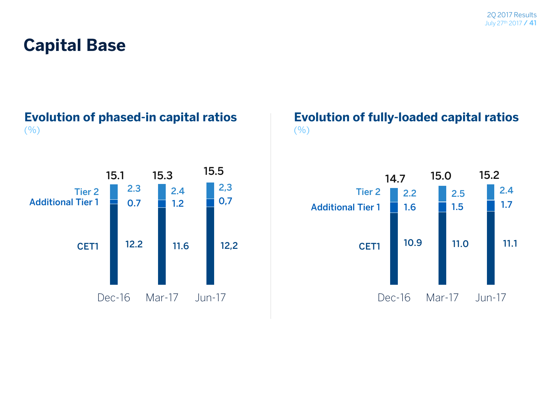### **Capital Base**

#### **Evolution of phased-in capital ratios**  $($ % $)$



#### **Evolution of fully-loaded capital ratios**  $(9/0)$

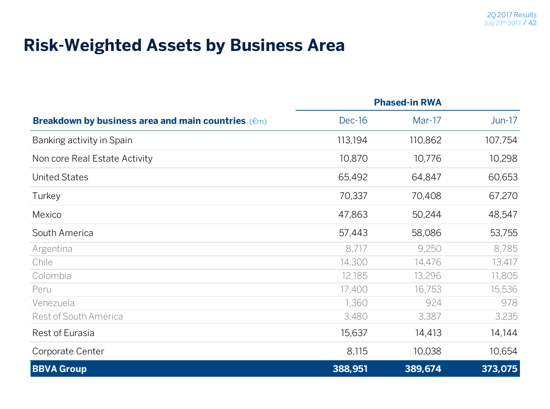#### **Risk-Weighted Assets by Business Area**

|                                                               | <b>Phased-in RWA</b> |          |          |
|---------------------------------------------------------------|----------------------|----------|----------|
| Breakdown by business area and main countries ( $\epsilon$ m) | <b>Dec-16</b>        | $Mar-17$ | $Jun-17$ |
| Banking activity in Spain                                     | 113,194              | 110,862  | 107,754  |
| Non core Real Estate Activity                                 | 10,870               | 10,776   | 10,298   |
| <b>United States</b>                                          | 65,492               | 64,847   | 60,653   |
| Turkey                                                        | 70,337               | 70,408   | 67,270   |
| Mexico                                                        | 47,863               | 50,244   | 48,547   |
| South America                                                 | 57,443               | 58,086   | 53,755   |
| Argentina                                                     | 8,717                | 9,250    | 8,785    |
| Chile                                                         | 14,300               | 14,476   | 13,417   |
| Colombia                                                      | 12,185               | 13,296   | 11,805   |
| Peru                                                          | 17,400               | 16,753   | 15,536   |
| Venezuela                                                     | 1,360                | 924      | 978      |
| Rest of South America                                         | 3,480                | 3,387    | 3,235    |
| Rest of Eurasia                                               | 15,637               | 14,413   | 14,144   |
| Corporate Center                                              | 8,115                | 10,038   | 10,654   |
| <b>BBVA Group</b>                                             | 388,951              | 389,674  | 373,075  |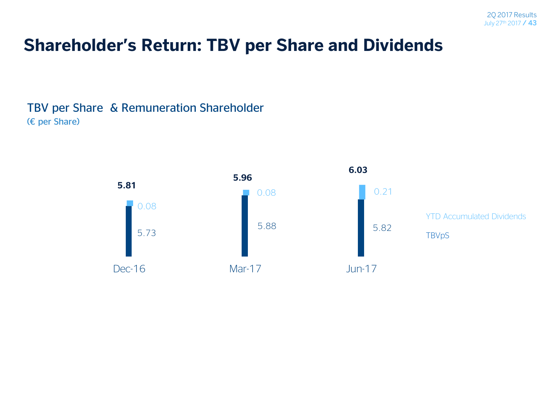### **Shareholder's Return: TBV per Share and Dividends**

TBV per Share & Remuneration Shareholder (€ per Share)

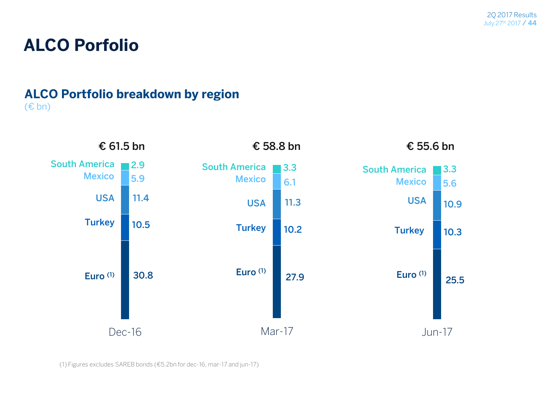### **ALCO Porfolio**

#### **ALCO Portfolio breakdown by region** (€ bn)



(1) Figures excludes SAREB bonds (€5.2bn for dec-16, mar-17 and jun-17)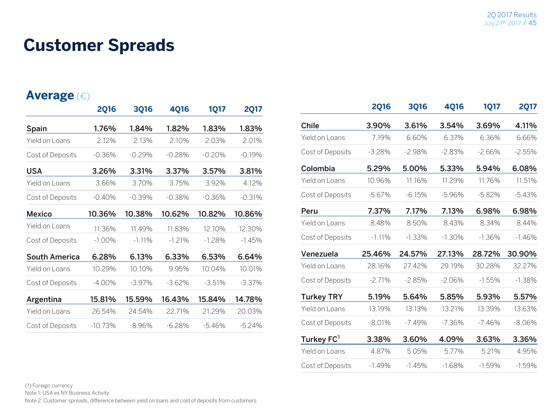#### **Customer Spreads**

#### **Average** (€)

|                      | <b>2Q16</b> | <b>3Q16</b> | <b>4Q16</b> | 1Q17     | <b>2Q17</b> |
|----------------------|-------------|-------------|-------------|----------|-------------|
| Spain                | 1.76%       | 1.84%       | 1.82%       | 1.83%    | 1.83%       |
| Yield on Loans       | 2.12%       | 2.13%       | 2.10%       | 2.03%    | 2.01%       |
| Cost of Deposits     | -0.36%      | $-0.29%$    | $-0.28%$    | $-0.20%$ | $-0.19%$    |
| <b>USA</b>           | 3.26%       | 3.31%       | 3.37%       | 3.57%    | 3.81%       |
| Yield on Loans       | 3.66%       | 3.70%       | 3.75%       | 3.92%    | 4.12%       |
| Cost of Deposits     | $-0.40%$    | $-0.39\%$   | $-0.38%$    | $-0.36%$ | $-0.31%$    |
| <b>Mexico</b>        | 10.36%      | 10.38%      | 10.62%      | 10.82%   | 10.86%      |
| Yield on Loans       | 11.36%      | 11.49%      | 11.83%      | 12.10%   | 12.30%      |
| Cost of Deposits     | $-1.00\%$   | $-1.11\%$   | $-1.21%$    | $-1.28%$ | $-1.45%$    |
| <b>South America</b> | 6.28%       | 6.13%       | 6.33%       | 6.53%    | 6.64%       |
| Yield on Loans       | 10.29%      | 10.10%      | 9.95%       | 10.04%   | 10.01%      |
| Cost of Deposits     | $-4.00\%$   | $-3.97\%$   | $-3.62%$    | $-3.51%$ | $-3.37%$    |
| Argentina            | 15.81%      | 15.59%      | 16.43%      | 15.84%   | 14.78%      |
| Yield on Loans       | 26.54%      | 24.54%      | 22.71%      | 21.29%   | 20.03%      |
| Cost of Deposits     | $-10.73%$   | -8.96%      | $-6.28%$    | $-5.46%$ | $-5.24%$    |

|                        | <b>2Q16</b> | <b>3Q16</b> | <b>4Q16</b> | <b>1Q17</b> | <b>2Q17</b> |
|------------------------|-------------|-------------|-------------|-------------|-------------|
| <b>Chile</b>           | 3.90%       | 3.61%       | 3.54%       | 3.69%       | 4.11%       |
| Yield on Loans         | 7.19%       | 6.60%       | 6.37%       | 6.36%       | 6.66%       |
| Cost of Deposits       | $-3.28%$    | $-2.98%$    | $-2.83%$    | $-2.66%$    | $-2.55%$    |
| Colombia               | 5.29%       | 5.00%       | 5.33%       | 5.94%       | 6.08%       |
| Yield on Loans         | 10.96%      | 11.16%      | 11.29%      | 11.76%      | 11.51%      |
| Cost of Deposits       | $-5.67%$    | $-6.15%$    | $-5.96%$    | $-5.82%$    | $-5.43%$    |
| Peru                   | 7.37%       | 7.17%       | 7.13%       | 6.98%       | 6.98%       |
| Yield on Loans         | 8.48%       | 8.50%       | 8.43%       | 8.34%       | 8.44%       |
| Cost of Deposits       | $-1.11%$    | $-1.33\%$   | $-1.30%$    | $-1.36%$    | $-1.46%$    |
| Venezuela              | 25.46%      | 24.57%      | 27.13%      | 28.72%      | 30.90%      |
| Yield on Loans         | 28.16%      | 27.42%      | 29.19%      | 30.28%      | 32.27%      |
| Cost of Deposits       | $-2.71%$    | $-2.85%$    | $-2.06%$    | $-1.55%$    | $-1.38%$    |
| <b>Turkey TRY</b>      | 5.19%       | 5.64%       | 5.85%       | 5.93%       | 5.57%       |
| Yield on Loans         | 13.19%      | 13.13%      | 13.21%      | 13.39%      | 13.63%      |
| Cost of Deposits       | $-8.01%$    | $-7.49%$    | $-7.36%$    | $-7.46%$    | $-8.06%$    |
| Turkey FC <sup>1</sup> | 3.38%       | 3.60%       | 4.09%       | 3.63%       | 3.36%       |
| Yield on Loans         | 4.87%       | 5.05%       | 5.77%       | 5.21%       | 4.95%       |
| Cost of Deposits       | $-1.49%$    | $-1.45%$    | $-1.68%$    | $-1.59%$    | $-1.59%$    |